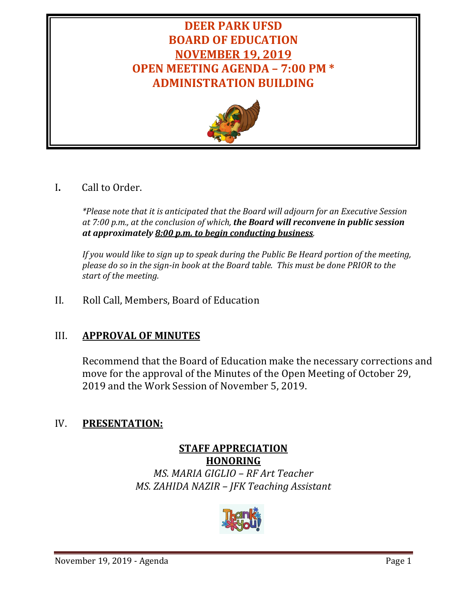# **DEER PARK UFSD BOARD OF EDUCATION NOVEMBER 19, 2019 OPEN MEETING AGENDA – 7:00 PM \* ADMINISTRATION BUILDING**



# I**.** Call to Order.

*\*Please note that it is anticipated that the Board will adjourn for an Executive Session at 7:00 p.m., at the conclusion of which, the Board will reconvene in public session at approximately 8:00 p.m. to begin conducting business.*

*If you would like to sign up to speak during the Public Be Heard portion of the meeting, please do so in the sign-in book at the Board table. This must be done PRIOR to the start of the meeting.* 

II. Roll Call, Members, Board of Education

# III. **APPROVAL OF MINUTES**

Recommend that the Board of Education make the necessary corrections and move for the approval of the Minutes of the Open Meeting of October 29, 2019 and the Work Session of November 5, 2019.

# IV. **PRESENTATION:**

# **STAFF APPRECIATION HONORING** *MS. MARIA GIGLIO – RF Art Teacher MS. ZAHIDA NAZIR – JFK Teaching Assistant*

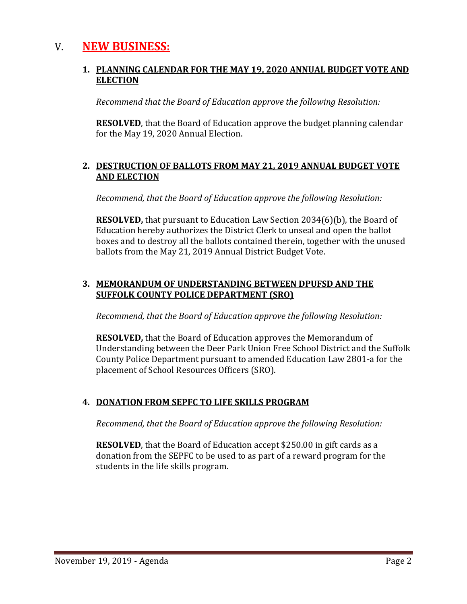# V. **NEW BUSINESS:**

#### **1. PLANNING CALENDAR FOR THE MAY 19, 2020 ANNUAL BUDGET VOTE AND ELECTION**

*Recommend that the Board of Education approve the following Resolution:*

**RESOLVED**, that the Board of Education approve the budget planning calendar for the May 19, 2020 Annual Election.

#### **2. DESTRUCTION OF BALLOTS FROM MAY 21, 2019 ANNUAL BUDGET VOTE AND ELECTION**

*Recommend, that the Board of Education approve the following Resolution:*

**RESOLVED,** that pursuant to Education Law Section 2034(6)(b), the Board of Education hereby authorizes the District Clerk to unseal and open the ballot boxes and to destroy all the ballots contained therein, together with the unused ballots from the May 21, 2019 Annual District Budget Vote.

## **3. MEMORANDUM OF UNDERSTANDING BETWEEN DPUFSD AND THE SUFFOLK COUNTY POLICE DEPARTMENT (SRO)**

*Recommend, that the Board of Education approve the following Resolution:*

**RESOLVED,** that the Board of Education approves the Memorandum of Understanding between the Deer Park Union Free School District and the Suffolk County Police Department pursuant to amended Education Law 2801-a for the placement of School Resources Officers (SRO).

# **4. DONATION FROM SEPFC TO LIFE SKILLS PROGRAM**

*Recommend, that the Board of Education approve the following Resolution:*

**RESOLVED**, that the Board of Education accept \$250.00 in gift cards as a donation from the SEPFC to be used to as part of a reward program for the students in the life skills program.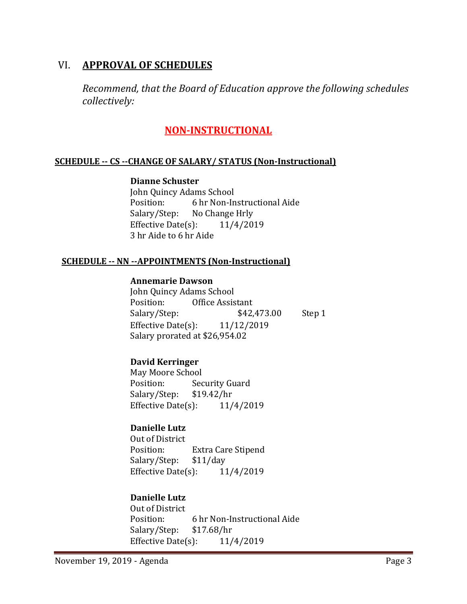# VI. **APPROVAL OF SCHEDULES**

*Recommend, that the Board of Education approve the following schedules collectively:*

# **NON-INSTRUCTIONAL**

### **SCHEDULE -- CS --CHANGE OF SALARY/ STATUS (Non-Instructional)**

#### **Dianne Schuster**

John Quincy Adams School<br>Position: 6 hr Non-In Position: 6 hr Non-Instructional Aide<br>Salary/Step: No Change Hrly No Change Hrly<br> $(3):$  11/4/2019 Effective Date $(s)$ : 3 hr Aide to 6 hr Aide

### **SCHEDULE -- NN --APPOINTMENTS (Non-Instructional)**

#### **Annemarie Dawson**

John Quincy Adams School<br>Position: Office Assis Office Assistant<br>\$42,473.00 Salary/Step: \$42,473.00 Step 1 Effective Date(s): 11/12/2019 Salary prorated at \$26,954.02

# **David Kerringer**

May Moore School<br>Position: Sec Security Guard<br>\$19.42/hr Salary/Step: \$19.42/hr<br>Effective Date(s): 11/4/2019 Effective Date $(s)$ :

# **Danielle Lutz**

Out of District<br>Position: Extra Care Stipend<br>\$11/day Salary/Step: \$11/day<br>Effective Date(s): 11/4/2019 Effective Date $(s)$ :

# **Danielle Lutz**

Out of District<br>Position: 6 hr Non-Instructional Aide<br>\$17.68/hr Salary/Step: Effective Date(s):  $11/4/2019$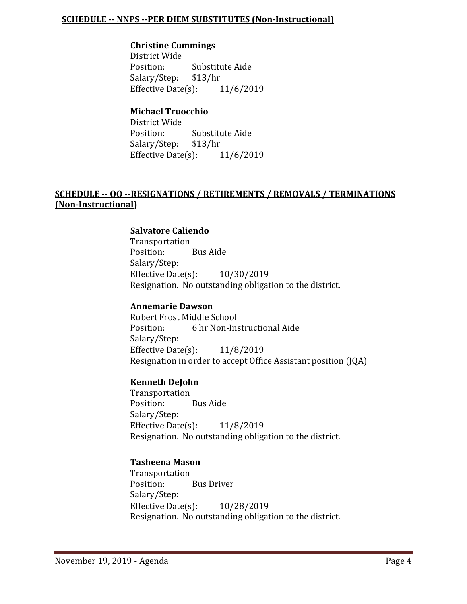#### **SCHEDULE -- NNPS --PER DIEM SUBSTITUTES (Non-Instructional)**

#### **Christine Cummings**

District Wide<br>Position: Substitute Aide<br>\$13/hr Salary/Step: \$13/hr<br>Effective Date(s): 11/6/2019 Effective Date $(s)$ :

# **Michael Truocchio**

District Wide Substitute Aide<br>\$13/hr Salary/Step: Effective Date(s): 11/6/2019

## **SCHEDULE -- OO --RESIGNATIONS / RETIREMENTS / REMOVALS / TERMINATIONS (Non-Instructional)**

#### **Salvatore Caliendo**

Transportation<br>Position: Bus Aide Position: Salary/Step: Effective Date(s): 10/30/2019 Resignation. No outstanding obligation to the district.

#### **Annemarie Dawson**

Robert Frost Middle School<br>Position: 6 hr Non-Ins 6 hr Non-Instructional Aide Salary/Step: Effective Date(s): 11/8/2019 Resignation in order to accept Office Assistant position (JQA)

#### **Kenneth DeJohn**

Transportation Position: Bus Aide Salary/Step: Effective Date(s): 11/8/2019 Resignation. No outstanding obligation to the district.

#### **Tasheena Mason**

Transportation<br>Position: **Bus Driver** Salary/Step: Effective Date(s): 10/28/2019 Resignation. No outstanding obligation to the district.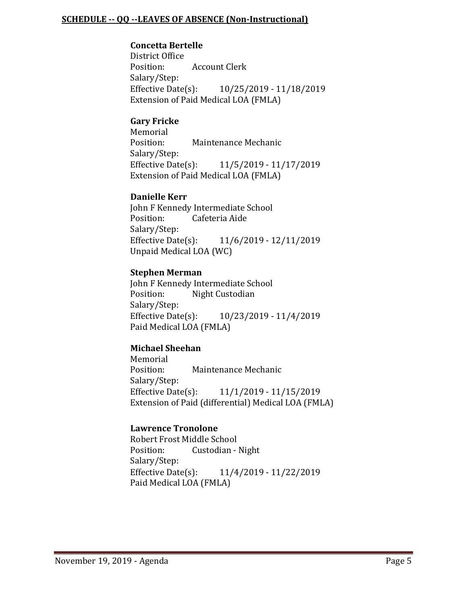#### **SCHEDULE -- QQ --LEAVES OF ABSENCE (Non-Instructional)**

#### **Concetta Bertelle**

District Office<br>Position: Account Clerk Salary/Step:<br>Effective Date(s): Effective Date(s): 10/25/2019 - 11/18/2019 Extension of Paid Medical LOA (FMLA)

#### **Gary Fricke**

Memorial<br>Position: Maintenance Mechanic Salary/Step:<br>Effective Date(s): Effective Date(s): 11/5/2019 - 11/17/2019 Extension of Paid Medical LOA (FMLA)

#### **Danielle Kerr**

John F Kennedy Intermediate School<br>Position: Cafeteria Aide Cafeteria Aide Salary/Step:<br>Effective Date(s): Effective Date(s): 11/6/2019 - 12/11/2019 Unpaid Medical LOA (WC)

#### **Stephen Merman**

John F Kennedy Intermediate School<br>Position: Night Custodian Night Custodian Salary/Step:<br>Effective Date(s): Effective Date(s): 10/23/2019 - 11/4/2019 Paid Medical LOA (FMLA)

# **Michael Sheehan**

Memorial<br>Position: Maintenance Mechanic Salary/Step:<br>Effective Date(s): Effective Date(s): 11/1/2019 - 11/15/2019 Extension of Paid (differential) Medical LOA (FMLA)

#### **Lawrence Tronolone**

Robert Frost Middle School<br>Position: Custodian -Custodian - Night Salary/Step:<br>Effective Date(s): Effective Date(s): 11/4/2019 - 11/22/2019 Paid Medical LOA (FMLA)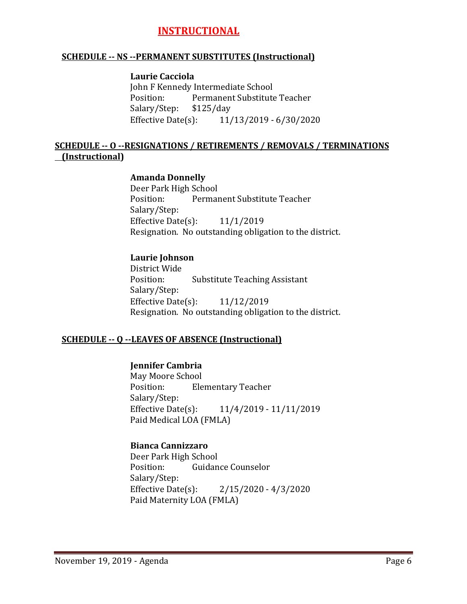# **INSTRUCTIONAL**

#### **SCHEDULE -- NS --PERMANENT SUBSTITUTES (Instructional)**

#### **Laurie Cacciola**

John F Kennedy Intermediate School<br>Position: Permanent Substitute Permanent Substitute Teacher<br>\$125/day Salary/Step: \$1<br>Effective Date(s): Effective Date(s): 11/13/2019 - 6/30/2020

### **SCHEDULE -- O --RESIGNATIONS / RETIREMENTS / REMOVALS / TERMINATIONS (Instructional)**

#### **Amanda Donnelly**

Deer Park High School<br>Position: Permai Permanent Substitute Teacher Salary/Step: Effective Date $(s)$ : 11/1/2019 Resignation. No outstanding obligation to the district.

#### **Laurie Johnson**

District Wide **Substitute Teaching Assistant** Salary/Step: Effective Date(s): 11/12/2019 Resignation. No outstanding obligation to the district.

#### **SCHEDULE -- Q --LEAVES OF ABSENCE (Instructional)**

## **Jennifer Cambria**

May Moore School **Elementary Teacher** Salary/Step:<br>Effective Date(s): Effective Date(s): 11/4/2019 - 11/11/2019 Paid Medical LOA (FMLA)

#### **Bianca Cannizzaro**

Deer Park High School<br>Position: Guidan Guidance Counselor Salary/Step:<br>Effective Date(s):  $2/15/2020 - 4/3/2020$ Paid Maternity LOA (FMLA)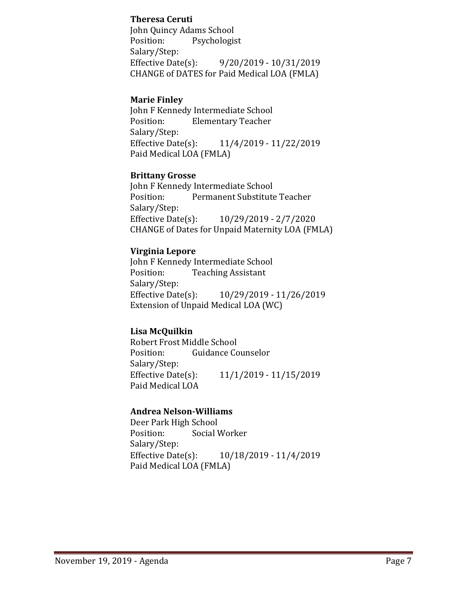#### **Theresa Ceruti**

John Quincy Adams School<br>Position: Psychologis Psychologist Salary/Step:<br>Effective Date(s): Effective Date(s): 9/20/2019 - 10/31/2019 CHANGE of DATES for Paid Medical LOA (FMLA)

### **Marie Finley**

John F Kennedy Intermediate School<br>Position: Elementary Teacher **Elementary Teacher** Salary/Step:<br>Effective Date(s): Effective Date(s): 11/4/2019 - 11/22/2019 Paid Medical LOA (FMLA)

#### **Brittany Grosse**

John F Kennedy Intermediate School<br>Position: Permanent Substitute Permanent Substitute Teacher Salary/Step:<br>Effective Date(s): Effective Date(s): 10/29/2019 - 2/7/2020 CHANGE of Dates for Unpaid Maternity LOA (FMLA)

### **Virginia Lepore**

John F Kennedy Intermediate School<br>Position: Teaching Assistant **Teaching Assistant** Salary/Step:<br>Effective Date(s): Effective Date(s): 10/29/2019 - 11/26/2019 Extension of Unpaid Medical LOA (WC)

# **Lisa McQuilkin**

Robert Frost Middle School<br>Position: Guidance Co **Guidance Counselor** Salary/Step:<br>Effective Date(s): Effective Date(s): 11/1/2019 - 11/15/2019 Paid Medical LOA

# **Andrea Nelson-Williams**

Deer Park High School<br>Position: Social V Social Worker Salary/Step:<br>Effective Date(s): Effective Date(s): 10/18/2019 - 11/4/2019 Paid Medical LOA (FMLA)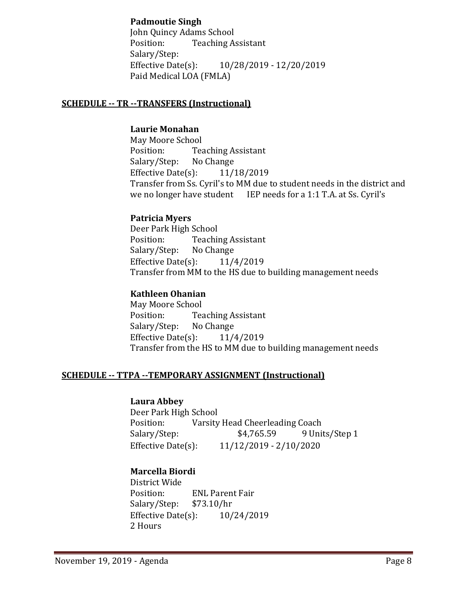# **Padmoutie Singh**

John Quincy Adams School<br>Position: Teaching A **Teaching Assistant** Salary/Step:<br>Effective Date(s): Effective Date(s): 10/28/2019 - 12/20/2019 Paid Medical LOA (FMLA)

## **SCHEDULE -- TR --TRANSFERS (Instructional)**

#### **Laurie Monahan**

May Moore School<br>Position: Tea Teaching Assistant<br>No Change Salary/Step: Effective Date(s): 11/18/2019 Transfer from Ss. Cyril's to MM due to student needs in the district and we no longer have student IEP needs for a 1:1 T.A. at Ss. Cyril's

#### **Patricia Myers**

Deer Park High School<br>Position: Teachi Teaching Assistant<br>No Change Salary/Step: No Change<br>Effective Date(s): 11/4/2019 Effective Date $(s)$ : Transfer from MM to the HS due to building management needs

### **Kathleen Ohanian**

May Moore School<br>Position: Tea Teaching Assistant<br>No Change Salary/Step: No Change<br>Effective Date(s): 11/4/2019 Effective Date $(s)$ : Transfer from the HS to MM due to building management needs

#### **SCHEDULE -- TTPA --TEMPORARY ASSIGNMENT (Instructional)**

#### **Laura Abbey**

Deer Park High School<br>Position: Varsity Position: Varsity Head Cheerleading Coach<br>Salary/Step: \$4,765.59 9 Unit Salary/Step: \$4,765.59 9 Units/Step 1<br>Effective Date(s): 11/12/2019 - 2/10/2020 Effective Date(s): 11/12/2019 - 2/10/2020

# **Marcella Biordi**

District Wide ENL Parent Fair<br>\$73.10/hr Salary/Step: \$73.10/hr<br>Effective Date(s): 10/24/2019 Effective Date $(s)$ : 2 Hours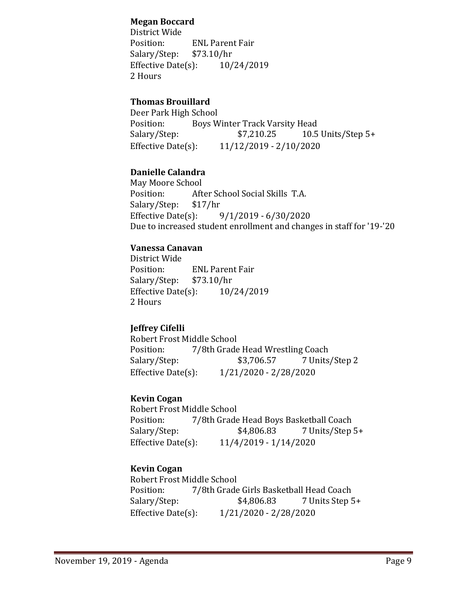## **Megan Boccard**

District Wide ENL Parent Fair<br>\$73.10/hr Salary/Step: \$73.10/hr<br>Effective Date(s): 10/24/2019 Effective Date $(s)$ : 2 Hours

# **Thomas Brouillard**

Deer Park High School<br>Position: Boys W Position: Boys Winter Track Varsity Head<br>Salary/Step: \$7,210.25 10.5 10.5 Units/Step  $5+$ Effective Date(s): 11/12/2019 - 2/10/2020

# **Danielle Calandra**

May Moore School After School Social Skills T.A.<br>\$17/hr Salary/Step: \$1<br>Effective Date(s): Effective Date(s): 9/1/2019 - 6/30/2020 Due to increased student enrollment and changes in staff for '19-'20

# **Vanessa Canavan**

District Wide ENL Parent Fair<br>\$73.10/hr Salary/Step: \$73.10/hr<br>Effective Date(s): 10/24/2019 Effective Date $(s)$ : 2 Hours

# **Jeffrey Cifelli**

Robert Frost Middle School<br>Position: 7/8th Grade Position: 7/8th Grade Head Wrestling Coach<br>Salary/Step: \$3,706.57 7 Units 7 Units/Step 2 Effective Date(s): 1/21/2020 - 2/28/2020

# **Kevin Cogan**

Robert Frost Middle School<br>Position: 7/8th Grade Position: 7/8th Grade Head Boys Basketball Coach<br>Salary/Step: \$4,806.83 7 Units/Step! Salary/Step: \$4,806.83 7 Units/Step 5+<br>Effective Date(s): 11/4/2019 - 1/14/2020 Effective Date(s): 11/4/2019 - 1/14/2020

# **Kevin Cogan**

Robert Frost Middle School<br>Position: 7/8th Grade Position: 7/8th Grade Girls Basketball Head Coach<br>Salary/Step: \$4,806.83 7 Units Step 5 Salary/Step: \$4,806.83 7 Units Step 5+<br>Effective Date(s): 1/21/2020 - 2/28/2020 Effective Date(s): 1/21/2020 - 2/28/2020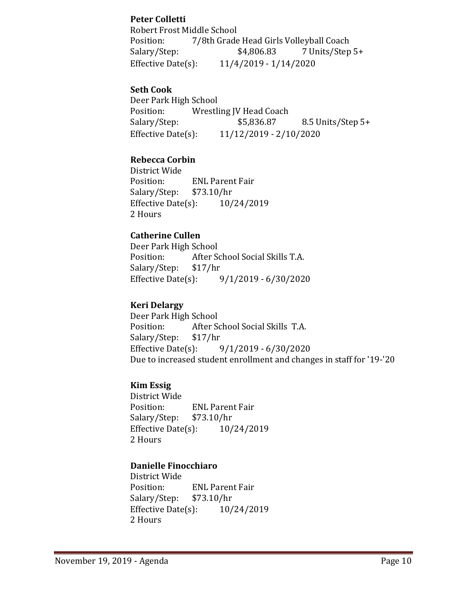# **Peter Colletti**

Robert Frost Middle School Position: 7/8th Grade Head Girls Volleyball Coach<br>Salary/Step: \$4,806.83 7 Units/Step 7 Units/Step 5+ Effective Date(s): 11/4/2019 - 1/14/2020

### **Seth Cook**

Deer Park High School<br>Position: Wrestli Position: Wrestling JV Head Coach<br>Salary/Step: \$5,836.87 8.5 Units/Step 5+ Effective Date(s): 11/12/2019 - 2/10/2020

### **Rebecca Corbin**

District Wide ENL Parent Fair<br>\$73.10/hr Salary/Step: \$73.10/hr<br>Effective Date(s): 10/24/2019 Effective Date $(s)$ : 2 Hours

### **Catherine Cullen**

Deer Park High School<br>Position: After So After School Social Skills T.A.<br>\$17/hr Salary/Step: \$1<br>Effective Date(s): Effective Date(s): 9/1/2019 - 6/30/2020

### **Keri Delargy**

Deer Park High School<br>Position: After Sq After School Social Skills T.A.<br>\$17/hr Salary/Step: \$1<br>Effective Date(s):  $9/1/2019 - 6/30/2020$ Due to increased student enrollment and changes in staff for '19-'20

#### **Kim Essig**

District Wide ENL Parent Fair<br>\$73.10/hr Salary/Step: \$73.10/hr<br>Effective Date(s): 10/24/2019 Effective Date $(s)$ : 2 Hours

#### **Danielle Finocchiaro**

District Wide ENL Parent Fair<br>\$73.10/hr Salary/Step: \$73.10/hr<br>Effective Date(s): 10/24/2019 Effective Date $(s)$ : 2 Hours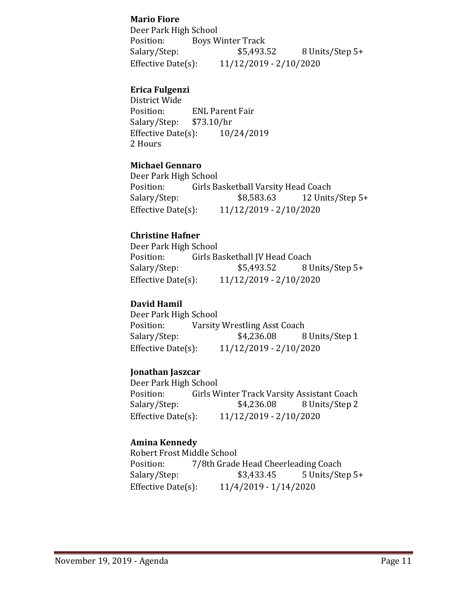### **Mario Fiore**

Deer Park High School Position: Boys Winter Track<br>Salary/Step: \$5,493.52 8 Units/Step 5+ Effective Date(s): 11/12/2019 - 2/10/2020

# **Erica Fulgenzi**

District Wide ENL Parent Fair<br>\$73.10/hr Salary/Step: \$73.10/hr<br>Effective Date(s): 10/24/2019 Effective Date $(s)$ : 2 Hours

# **Michael Gennaro**

Deer Park High School<br>Position: Girls Ba Position: Girls Basketball Varsity Head Coach<br>Salary/Step: \$8,583.63 12 Units 12 Units/Step  $5+$ Effective Date(s): 11/12/2019 - 2/10/2020

# **Christine Hafner**

Deer Park High School<br>Position: Girls Ba Position: Girls Basketball JV Head Coach<br>Salary/Step: \$5,493.52 8 U 8 Units/Step 5+ Effective Date(s): 11/12/2019 - 2/10/2020

### **David Hamil**

Deer Park High School<br>Position: Varsity Position: Varsity Wrestling Asst Coach<br>Salary/Step: \$4,236.08 8 8 Units/Step 1 Effective Date(s): 11/12/2019 - 2/10/2020

#### **Jonathan Jaszcar**

Deer Park High School<br>Position: Girls W Position: Girls Winter Track Varsity Assistant Coach<br>Salary/Step: \$4,236.08 8 Units/Step 2 Salary/Step: \$4,236.08 8 Units/Step 2<br>Effective Date(s): 11/12/2019 - 2/10/2020 Effective Date(s): 11/12/2019 - 2/10/2020

#### **Amina Kennedy**

Robert Frost Middle School<br>Position: 7/8th Grade Position: 7/8th Grade Head Cheerleading Coach<br>Salary/Step: \$3,433.45 5 Units/Ste Salary/Step: \$3,433.45 5 Units/Step 5+<br>Effective Date(s): 11/4/2019 - 1/14/2020 Effective Date(s): 11/4/2019 - 1/14/2020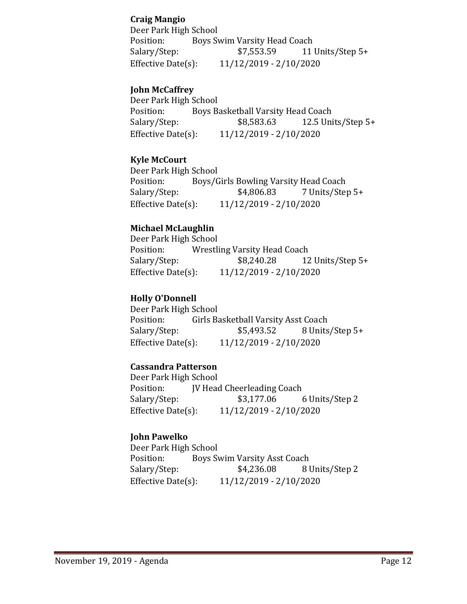## **Craig Mangio**

Deer Park High School Position: Boys Swim Varsity Head Coach<br>Salary/Step: \$7,553.59 11 11 Units/Step 5+ Effective Date(s): 11/12/2019 - 2/10/2020

## **John McCaffrey**

Deer Park High School<br>Position: Boys B Position: Boys Basketball Varsity Head Coach<br>Salary/Step: \$8,583.63 12.5 Uni 12.5 Units/Step  $5+$ Effective Date(s): 11/12/2019 - 2/10/2020

### **Kyle McCourt**

Deer Park High School<br>Position: Boys/G Position: Boys/Girls Bowling Varsity Head Coach<br>Salary/Step: \$4,806.83 7 Units/Step Salary/Step: \$4,806.83 7 Units/Step 5+<br>Effective Date(s): 11/12/2019 - 2/10/2020 Effective Date(s): 11/12/2019 - 2/10/2020

#### **Michael McLaughlin**

Deer Park High School<br>Position: Wrestli Position: Wrestling Varsity Head Coach<br>Salary/Step: \$8,240.28 12 12 Units/Step 5+ Effective Date(s): 11/12/2019 - 2/10/2020

## **Holly O'Donnell**

Deer Park High School<br>Position: Girls Ba Position: Girls Basketball Varsity Asst Coach<br>Salary/Step: \$5,493.52 8 Units Salary/Step: \$5,493.52 8 Units/Step 5+<br>Effective Date(s): 11/12/2019 - 2/10/2020 Effective Date(s): 11/12/2019 - 2/10/2020

#### **Cassandra Patterson**

Deer Park High School<br>Position: JV Head Position: JV Head Cheerleading Coach<br>Salary/Step: \$3,177.06 ( 6 Units/Step 2 Effective Date(s): 11/12/2019 - 2/10/2020

#### **John Pawelko**

Deer Park High School<br>Position: Boys Sy Position: Boys Swim Varsity Asst Coach<br>Salary/Step: \$4,236.08 81 8 Units/Step 2 Effective Date(s): 11/12/2019 - 2/10/2020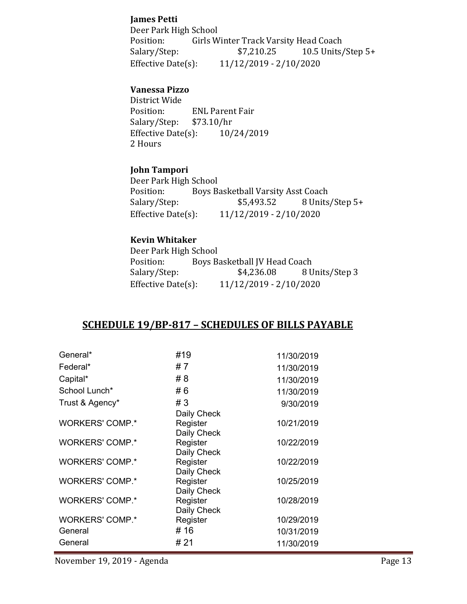### **James Petti**

Deer Park High School<br>Position: Girls W Position: Girls Winter Track Varsity Head Coach<br>Salary/Step: \$7,210.25 10.5 Units 10.5 Units/Step  $5+$ Effective Date(s): 11/12/2019 - 2/10/2020

### **Vanessa Pizzo**

District Wide ENL Parent Fair<br>\$73.10/hr Salary/Step: \$73.10/hr<br>Effective Date(s): 10/24/2019 Effective Date $(s)$ : 2 Hours

#### **John Tampori**

Deer Park High School<br>Position: Boys B Position: Boys Basketball Varsity Asst Coach<br>Salary/Step: \$5,493.52 8 Units 8 Units/Step 5+ Effective Date(s): 11/12/2019 - 2/10/2020

#### **Kevin Whitaker**

Deer Park High School<br>Position: Boys B Position: Boys Basketball JV Head Coach<br>Salary/Step: \$4,236.08 8 U 8 Units/Step 3 Effective Date(s): 11/12/2019 - 2/10/2020

# **SCHEDULE 19/BP-817 – SCHEDULES OF BILLS PAYABLE**

| General*               | #19         | 11/30/2019 |
|------------------------|-------------|------------|
| Federal*               | #7          | 11/30/2019 |
| Capital*               | #8          | 11/30/2019 |
| School Lunch*          | #6          | 11/30/2019 |
| Trust & Agency*        | #3          | 9/30/2019  |
|                        | Daily Check |            |
| <b>WORKERS' COMP.*</b> | Register    | 10/21/2019 |
|                        | Daily Check |            |
| <b>WORKERS' COMP.*</b> | Register    | 10/22/2019 |
|                        | Daily Check |            |
| <b>WORKERS' COMP.*</b> | Register    | 10/22/2019 |
|                        | Daily Check |            |
| <b>WORKERS' COMP.*</b> | Register    | 10/25/2019 |
|                        | Daily Check |            |
| <b>WORKERS' COMP.*</b> | Register    | 10/28/2019 |
|                        | Daily Check |            |
| <b>WORKERS' COMP.*</b> | Register    | 10/29/2019 |
| General                | # 16        | 10/31/2019 |
| General                | # 21        | 11/30/2019 |
|                        |             |            |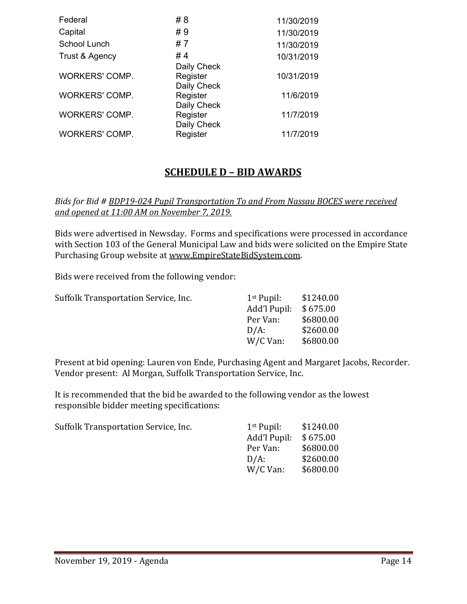| Federal               | #8                                     | 11/30/2019 |
|-----------------------|----------------------------------------|------------|
| Capital               | #9                                     | 11/30/2019 |
| School Lunch          | #7                                     | 11/30/2019 |
| Trust & Agency        | #4                                     | 10/31/2019 |
| <b>WORKERS' COMP.</b> | Daily Check<br>Register<br>Daily Check | 10/31/2019 |
| <b>WORKERS' COMP.</b> | Register<br>Daily Check                | 11/6/2019  |
| <b>WORKERS' COMP.</b> | Register<br>Daily Check                | 11/7/2019  |
| <b>WORKERS' COMP.</b> | Register                               | 11/7/2019  |

# **SCHEDULE D – BID AWARDS**

#### *Bids for Bid # BDP19-024 Pupil Transportation To and From Nassau BOCES were received and opened at 11:00 AM on November 7, 2019.*

Bids were advertised in Newsday. Forms and specifications were processed in accordance with Section 103 of the General Municipal Law and bids were solicited on the Empire State Purchasing Group website at [www.EmpireStateBidSystem.com.](http://www.empirestatebidsystem.com/)

Bids were received from the following vendor:

| Suffolk Transportation Service, Inc. | $1st$ Pupil: | \$1240.00 |
|--------------------------------------|--------------|-----------|
|                                      | Add'l Pupil: | \$675.00  |
|                                      | Per Van:     | \$6800.00 |
|                                      | $D/A$ :      | \$2600.00 |
|                                      | W/C Van:     | \$6800.00 |
|                                      |              |           |

Present at bid opening: Lauren von Ende, Purchasing Agent and Margaret Jacobs, Recorder. Vendor present: Al Morgan, Suffolk Transportation Service, Inc.

It is recommended that the bid be awarded to the following vendor as the lowest responsible bidder meeting specifications:

| $1st$ Pupil: | \$1240.00 |
|--------------|-----------|
| Add'l Pupil: | \$675.00  |
| Per Van:     | \$6800.00 |
| $D/A$ :      | \$2600.00 |
| W/C Van:     | \$6800.00 |
|              |           |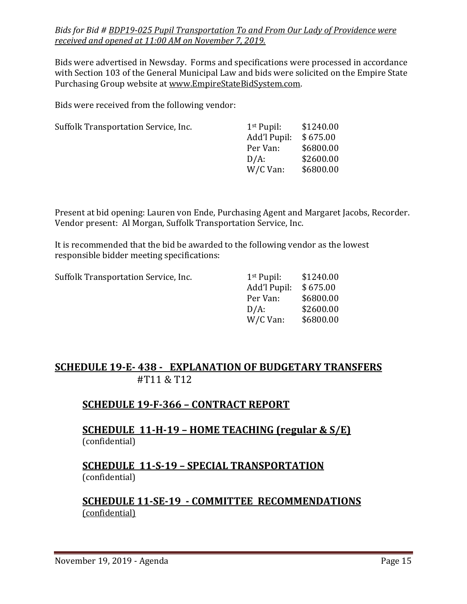### *Bids for Bid # BDP19-025 Pupil Transportation To and From Our Lady of Providence were received and opened at 11:00 AM on November 7, 2019.*

Bids were advertised in Newsday. Forms and specifications were processed in accordance with Section 103 of the General Municipal Law and bids were solicited on the Empire State Purchasing Group website at [www.EmpireStateBidSystem.com.](http://www.empirestatebidsystem.com/)

Bids were received from the following vendor:

| $1st$ Pupil: | \$1240.00 |
|--------------|-----------|
| Add'l Pupil: | \$675.00  |
| Per Van:     | \$6800.00 |
| $D/A$ :      | \$2600.00 |
| W/C Van:     | \$6800.00 |
|              |           |

Present at bid opening: Lauren von Ende, Purchasing Agent and Margaret Jacobs, Recorder. Vendor present: Al Morgan, Suffolk Transportation Service, Inc.

It is recommended that the bid be awarded to the following vendor as the lowest responsible bidder meeting specifications:

| Suffolk Transportation Service, Inc. | $1st$ Pupil: | \$1240.00 |
|--------------------------------------|--------------|-----------|
|                                      | Add'l Pupil: | \$675.00  |
|                                      | Per Van:     | \$6800.00 |
|                                      | $D/A$ :      | \$2600.00 |
|                                      | W/C Van:     | \$6800.00 |
|                                      |              |           |

# **SCHEDULE 19-E- 438 - EXPLANATION OF BUDGETARY TRANSFERS** #T11 & T12

# **SCHEDULE 19-F-366 – CONTRACT REPORT**

# **SCHEDULE 11-H-19 – HOME TEACHING (regular & S/E)**  (confidential)

# **SCHEDULE 11-S-19 – SPECIAL TRANSPORTATION**  (confidential)

# **SCHEDULE 11-SE-19 - COMMITTEE RECOMMENDATIONS** (confidential)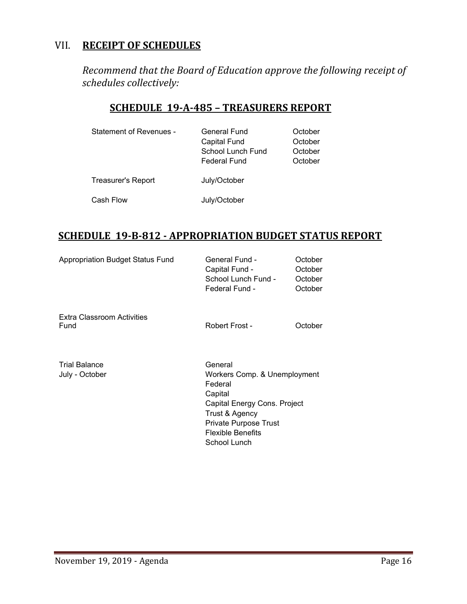# VII. **RECEIPT OF SCHEDULES**

*Recommend that the Board of Education approve the following receipt of schedules collectively:*

# **SCHEDULE 19-A-485 – TREASURERS REPORT**

| Statement of Revenues - | <b>General Fund</b><br>Capital Fund<br>School Lunch Fund<br><b>Federal Fund</b> | October<br>October<br>October<br>October |
|-------------------------|---------------------------------------------------------------------------------|------------------------------------------|
| Treasurer's Report      | July/October                                                                    |                                          |
| Cash Flow               | July/October                                                                    |                                          |

# **SCHEDULE 19-B-812 - APPROPRIATION BUDGET STATUS REPORT**

| Appropriation Budget Status Fund       | <b>General Fund -</b><br>Capital Fund -<br>School Lunch Fund -<br>Federal Fund -                                                                                                            | October<br>October<br>October<br>October |
|----------------------------------------|---------------------------------------------------------------------------------------------------------------------------------------------------------------------------------------------|------------------------------------------|
| Extra Classroom Activities<br>Fund     | Robert Frost -                                                                                                                                                                              | October                                  |
| <b>Trial Balance</b><br>July - October | General<br>Workers Comp. & Unemployment<br>Federal<br>Capital<br>Capital Energy Cons. Project<br>Trust & Agency<br><b>Private Purpose Trust</b><br><b>Flexible Benefits</b><br>School Lunch |                                          |